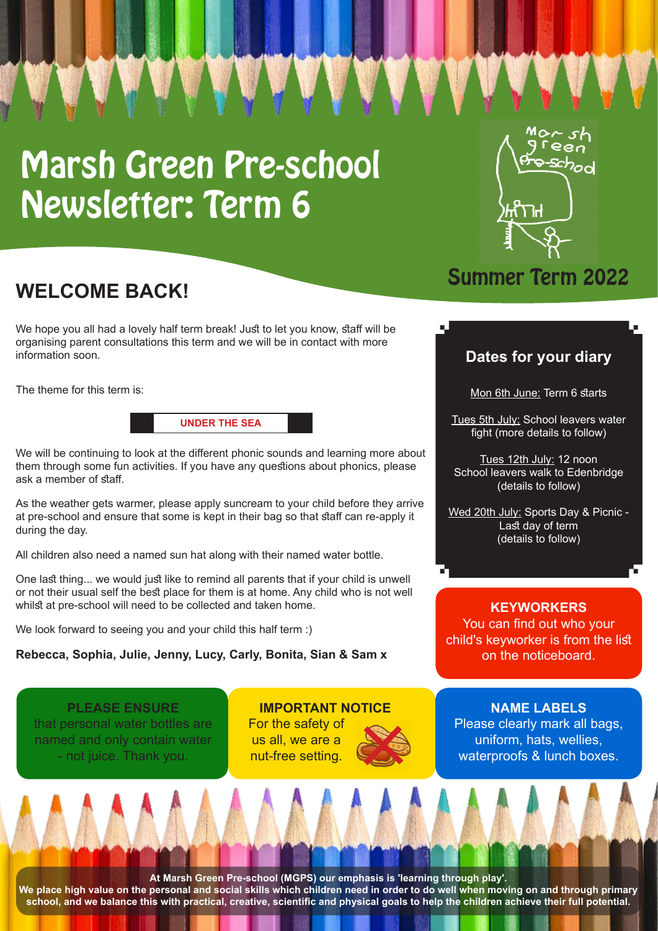# Marsh Green Pre-school Newsletter: Term 6



# **WELCOME BACK!**

We hope you all had a lovely half term break! Just to let you know, staff will be organising parent consultations this term and we will be in contact with more information soon.

The theme for this term is:

**UNDER THE SEA** 

We will be continuing to look at the different phonic sounds and learning more about them through some fun activities. If you have any questions about phonics, please ask a member of staff.

As the weather gets warmer, please apply suncream to your child before they arrive at pre-school and ensure that some is kept in their bag so that staff can re-apply it during the day.

All children also need a named sun hat along with their named water bottle.

One last thing... we would just like to remind all parents that if your child is unwell or not their usual self the best place for them is at home. Any child who is not well whilst at pre-school will need to be collected and taken home.

(: We look forward to seeing you and your child this half term

**Rebecca, Sophia, Julie, Jenny, Lucy, Carly, Bonita, Sian & Sam x** 

**PLEASE ENSURE** that personal water bottles are named and only contain water - not juice. Thank you.

#### **IMPORTANT NOTICE** For the safety of

us all, we are a nut-free setting.



# **Summer Term 2022**

### **Dates for your diary**

Mon 6th June: Term 6 starts

Tues 5th July: School leavers water fight (more details to follow)

Tues 12th July: 12 noon School leavers walk to Edenbridge (details to follow)

Wed 20th July: Sports Day & Picnic -Last day of term (details to follow)

**KEYWORKERS** You can find out who your child's keyworker is from the list on the noticeboard.

**NAME LABELS** Please clearly mark all bags, uniform, hats, wellies, waterproofs & lunch boxes.

At Marsh Green Pre-school (MGPS) our emphasis is 'learning through play'.

We place high value on the personal and social skills which children need in order to do well when moving on and through primary school, and we balance this with practical, creative, scientific and physical goals to help the children achieve their full potential.